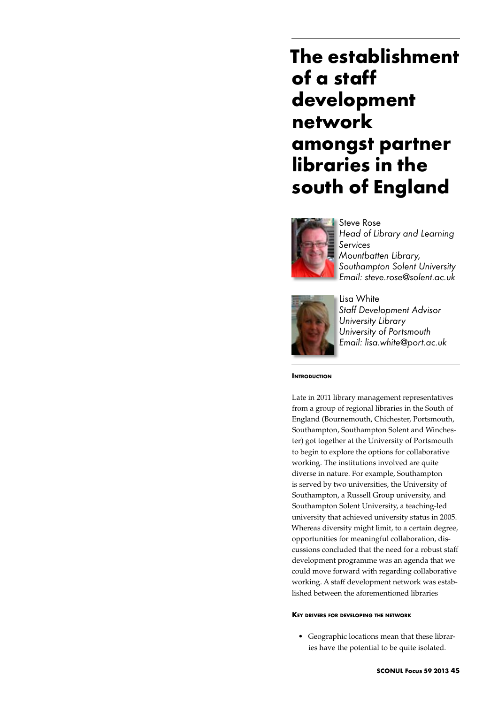# **The establishment of a staff development network amongst partner libraries in the south of England**



Steve Rose *Head of Library and Learning Services Mountbatten Library, Southampton Solent University Email: steve.rose@solent.ac.uk*



Lisa White *Staff Development Advisor University Library University of Portsmouth Email: lisa.white@port.ac.uk*

**INTRODUCTION** 

Late in 2011 library management representatives from a group of regional libraries in the South of England (Bournemouth, Chichester, Portsmouth, Southampton, Southampton Solent and Winchester) got together at the University of Portsmouth to begin to explore the options for collaborative working. The institutions involved are quite diverse in nature. For example, Southampton is served by two universities, the University of Southampton, a Russell Group university, and Southampton Solent University, a teaching-led university that achieved university status in 2005. Whereas diversity might limit, to a certain degree, opportunities for meaningful collaboration, discussions concluded that the need for a robust staff development programme was an agenda that we could move forward with regarding collaborative working. A staff development network was established between the aforementioned libraries

### **Key drivers for developing the network**

• Geographic locations mean that these libraries have the potential to be quite isolated.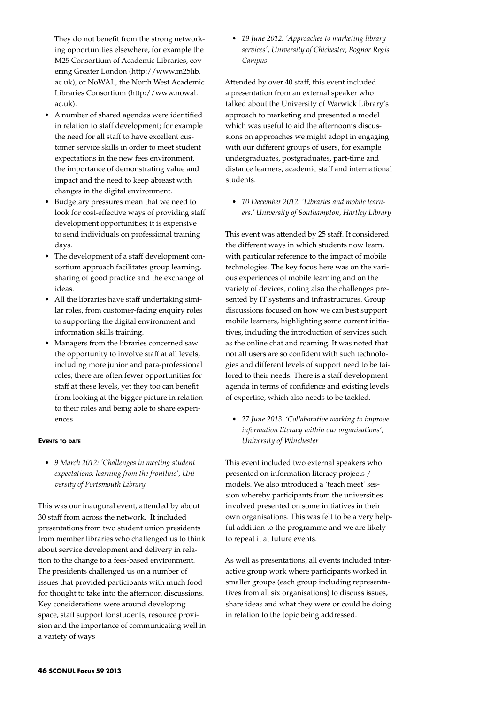They do not benefit from the strong networking opportunities elsewhere, for example the M25 Consortium of Academic Libraries, covering Greater London (http://www.m25lib. ac.uk), or NoWAL, the North West Academic Libraries Consortium (http://www.nowal. ac.uk).

- A number of shared agendas were identified in relation to staff development; for example the need for all staff to have excellent customer service skills in order to meet student expectations in the new fees environment, the importance of demonstrating value and impact and the need to keep abreast with changes in the digital environment.
- • Budgetary pressures mean that we need to look for cost-effective ways of providing staff development opportunities; it is expensive to send individuals on professional training days.
- The development of a staff development consortium approach facilitates group learning, sharing of good practice and the exchange of ideas.
- All the libraries have staff undertaking similar roles, from customer-facing enquiry roles to supporting the digital environment and information skills training.
- Managers from the libraries concerned saw the opportunity to involve staff at all levels, including more junior and para-professional roles; there are often fewer opportunities for staff at these levels, yet they too can benefit from looking at the bigger picture in relation to their roles and being able to share experiences.

#### **Events to date**

• *9 March 2012: 'Challenges in meeting student expectations: learning from the frontline', University of Portsmouth Library*

This was our inaugural event, attended by about 30 staff from across the network. It included presentations from two student union presidents from member libraries who challenged us to think about service development and delivery in relation to the change to a fees-based environment. The presidents challenged us on a number of issues that provided participants with much food for thought to take into the afternoon discussions. Key considerations were around developing space, staff support for students, resource provision and the importance of communicating well in a variety of ways

• *19 June 2012: 'Approaches to marketing library services', University of Chichester, Bognor Regis Campus*

Attended by over 40 staff, this event included a presentation from an external speaker who talked about the University of Warwick Library's approach to marketing and presented a model which was useful to aid the afternoon's discussions on approaches we might adopt in engaging with our different groups of users, for example undergraduates, postgraduates, part-time and distance learners, academic staff and international students.

• *10 December 2012: 'Libraries and mobile learners.' University of Southampton, Hartley Library*

This event was attended by 25 staff. It considered the different ways in which students now learn, with particular reference to the impact of mobile technologies. The key focus here was on the various experiences of mobile learning and on the variety of devices, noting also the challenges presented by IT systems and infrastructures. Group discussions focused on how we can best support mobile learners, highlighting some current initiatives, including the introduction of services such as the online chat and roaming. It was noted that not all users are so confident with such technologies and different levels of support need to be tailored to their needs. There is a staff development agenda in terms of confidence and existing levels of expertise, which also needs to be tackled.

• *27 June 2013: 'Collaborative working to improve information literacy within our organisations', University of Winchester*

This event included two external speakers who presented on information literacy projects / models. We also introduced a 'teach meet' session whereby participants from the universities involved presented on some initiatives in their own organisations. This was felt to be a very helpful addition to the programme and we are likely to repeat it at future events.

As well as presentations, all events included interactive group work where participants worked in smaller groups (each group including representatives from all six organisations) to discuss issues, share ideas and what they were or could be doing in relation to the topic being addressed.